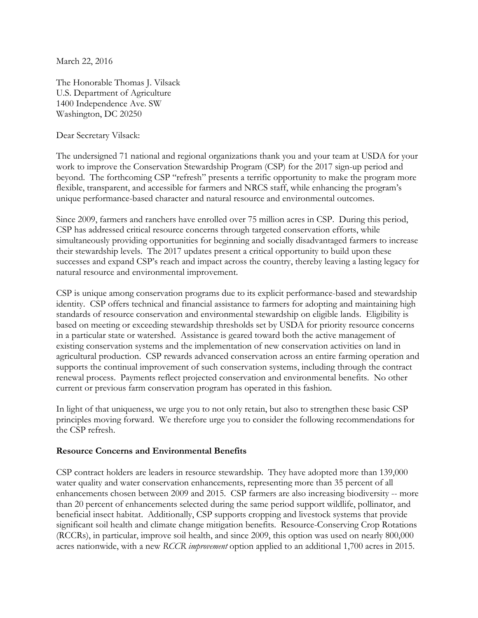March 22, 2016

The Honorable Thomas J. Vilsack U.S. Department of Agriculture 1400 Independence Ave. SW Washington, DC 20250

Dear Secretary Vilsack:

The undersigned 71 national and regional organizations thank you and your team at USDA for your work to improve the Conservation Stewardship Program (CSP) for the 2017 sign-up period and beyond. The forthcoming CSP "refresh" presents a terrific opportunity to make the program more flexible, transparent, and accessible for farmers and NRCS staff, while enhancing the program's unique performance-based character and natural resource and environmental outcomes.

Since 2009, farmers and ranchers have enrolled over 75 million acres in CSP. During this period, CSP has addressed critical resource concerns through targeted conservation efforts, while simultaneously providing opportunities for beginning and socially disadvantaged farmers to increase their stewardship levels. The 2017 updates present a critical opportunity to build upon these successes and expand CSP's reach and impact across the country, thereby leaving a lasting legacy for natural resource and environmental improvement.

CSP is unique among conservation programs due to its explicit performance-based and stewardship identity. CSP offers technical and financial assistance to farmers for adopting and maintaining high standards of resource conservation and environmental stewardship on eligible lands. Eligibility is based on meeting or exceeding stewardship thresholds set by USDA for priority resource concerns in a particular state or watershed. Assistance is geared toward both the active management of existing conservation systems and the implementation of new conservation activities on land in agricultural production. CSP rewards advanced conservation across an entire farming operation and supports the continual improvement of such conservation systems, including through the contract renewal process. Payments reflect projected conservation and environmental benefits. No other current or previous farm conservation program has operated in this fashion.

In light of that uniqueness, we urge you to not only retain, but also to strengthen these basic CSP principles moving forward. We therefore urge you to consider the following recommendations for the CSP refresh.

## **Resource Concerns and Environmental Benefits**

CSP contract holders are leaders in resource stewardship. They have adopted more than 139,000 water quality and water conservation enhancements, representing more than 35 percent of all enhancements chosen between 2009 and 2015. CSP farmers are also increasing biodiversity -- more than 20 percent of enhancements selected during the same period support wildlife, pollinator, and beneficial insect habitat. Additionally, CSP supports cropping and livestock systems that provide significant soil health and climate change mitigation benefits. Resource-Conserving Crop Rotations (RCCRs), in particular, improve soil health, and since 2009, this option was used on nearly 800,000 acres nationwide, with a new *RCCR improvement* option applied to an additional 1,700 acres in 2015.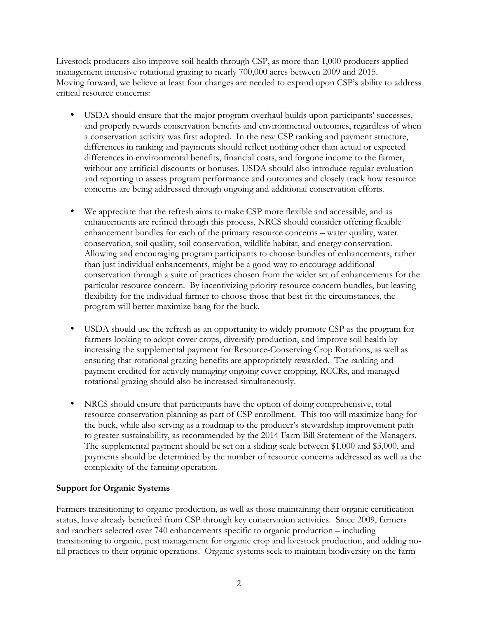Livestock producers also improve soil health through CSP, as more than 1,000 producers applied management intensive rotational grazing to nearly 700,000 acres between 2009 and 2015. Moving forward, we believe at least four changes are needed to expand upon CSP's ability to address critical resource concerns:

- USDA should ensure that the major program overhaul builds upon participants' successes, and properly rewards conservation benefits and environmental outcomes, regardless of when a conservation activity was first adopted. In the new CSP ranking and payment structure, differences in ranking and payments should reflect nothing other than actual or expected differences in environmental benefits, financial costs, and forgone income to the farmer, without any artificial discounts or bonuses*.* USDA should also introduce regular evaluation and reporting to assess program performance and outcomes and closely track how resource concerns are being addressed through ongoing and additional conservation efforts.
- We appreciate that the refresh aims to make CSP more flexible and accessible, and as enhancements are refined through this process, NRCS should consider offering flexible enhancement bundles for each of the primary resource concerns – water quality, water conservation, soil quality, soil conservation, wildlife habitat, and energy conservation. Allowing and encouraging program participants to choose bundles of enhancements, rather than just individual enhancements, might be a good way to encourage additional conservation through a suite of practices chosen from the wider set of enhancements for the particular resource concern. By incentivizing priority resource concern bundles, but leaving flexibility for the individual farmer to choose those that best fit the circumstances, the program will better maximize bang for the buck.
- USDA should use the refresh as an opportunity to widely promote CSP as the program for farmers looking to adopt cover crops, diversify production, and improve soil health by increasing the supplemental payment for Resource-Conserving Crop Rotations, as well as ensuring that rotational grazing benefits are appropriately rewarded. The ranking and payment credited for actively managing ongoing cover cropping, RCCRs, and managed rotational grazing should also be increased simultaneously.
- NRCS should ensure that participants have the option of doing comprehensive, total resource conservation planning as part of CSP enrollment. This too will maximize bang for the buck, while also serving as a roadmap to the producer's stewardship improvement path to greater sustainability, as recommended by the 2014 Farm Bill Statement of the Managers. The supplemental payment should be set on a sliding scale between \$1,000 and \$3,000, and payments should be determined by the number of resource concerns addressed as well as the complexity of the farming operation.

## **Support for Organic Systems**

Farmers transitioning to organic production, as well as those maintaining their organic certification status, have already benefited from CSP through key conservation activities. Since 2009, farmers and ranchers selected over 740 enhancements specific to organic production – including transitioning to organic, pest management for organic crop and livestock production, and adding notill practices to their organic operations. Organic systems seek to maintain biodiversity on the farm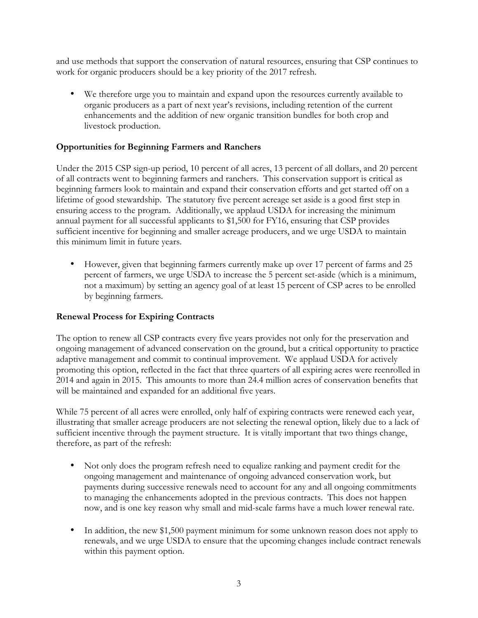and use methods that support the conservation of natural resources, ensuring that CSP continues to work for organic producers should be a key priority of the 2017 refresh.

• We therefore urge you to maintain and expand upon the resources currently available to organic producers as a part of next year's revisions, including retention of the current enhancements and the addition of new organic transition bundles for both crop and livestock production.

## **Opportunities for Beginning Farmers and Ranchers**

Under the 2015 CSP sign-up period, 10 percent of all acres, 13 percent of all dollars, and 20 percent of all contracts went to beginning farmers and ranchers. This conservation support is critical as beginning farmers look to maintain and expand their conservation efforts and get started off on a lifetime of good stewardship. The statutory five percent acreage set aside is a good first step in ensuring access to the program. Additionally, we applaud USDA for increasing the minimum annual payment for all successful applicants to \$1,500 for FY16, ensuring that CSP provides sufficient incentive for beginning and smaller acreage producers, and we urge USDA to maintain this minimum limit in future years.

• However, given that beginning farmers currently make up over 17 percent of farms and 25 percent of farmers, we urge USDA to increase the 5 percent set-aside (which is a minimum, not a maximum) by setting an agency goal of at least 15 percent of CSP acres to be enrolled by beginning farmers.

## **Renewal Process for Expiring Contracts**

The option to renew all CSP contracts every five years provides not only for the preservation and ongoing management of advanced conservation on the ground, but a critical opportunity to practice adaptive management and commit to continual improvement. We applaud USDA for actively promoting this option, reflected in the fact that three quarters of all expiring acres were reenrolled in 2014 and again in 2015. This amounts to more than 24.4 million acres of conservation benefits that will be maintained and expanded for an additional five years.

While 75 percent of all acres were enrolled, only half of expiring contracts were renewed each year, illustrating that smaller acreage producers are not selecting the renewal option, likely due to a lack of sufficient incentive through the payment structure. It is vitally important that two things change, therefore, as part of the refresh:

- Not only does the program refresh need to equalize ranking and payment credit for the ongoing management and maintenance of ongoing advanced conservation work, but payments during successive renewals need to account for any and all ongoing commitments to managing the enhancements adopted in the previous contracts. This does not happen now, and is one key reason why small and mid-scale farms have a much lower renewal rate.
- In addition, the new \$1,500 payment minimum for some unknown reason does not apply to renewals, and we urge USDA to ensure that the upcoming changes include contract renewals within this payment option.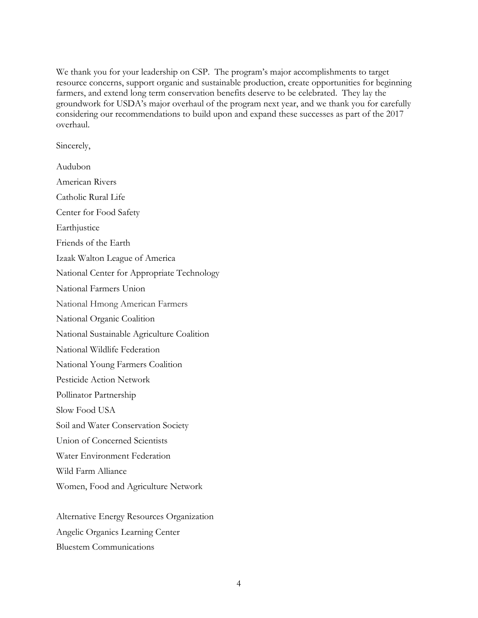We thank you for your leadership on CSP. The program's major accomplishments to target resource concerns, support organic and sustainable production, create opportunities for beginning farmers, and extend long term conservation benefits deserve to be celebrated. They lay the groundwork for USDA's major overhaul of the program next year, and we thank you for carefully considering our recommendations to build upon and expand these successes as part of the 2017 overhaul.

Sincerely,

Audubon American Rivers Catholic Rural Life Center for Food Safety Earthjustice Friends of the Earth Izaak Walton League of America National Center for Appropriate Technology National Farmers Union National Hmong American Farmers National Organic Coalition National Sustainable Agriculture Coalition National Wildlife Federation National Young Farmers Coalition Pesticide Action Network Pollinator Partnership Slow Food USA Soil and Water Conservation Society Union of Concerned Scientists Water Environment Federation Wild Farm Alliance Women, Food and Agriculture Network

Alternative Energy Resources Organization Angelic Organics Learning Center Bluestem Communications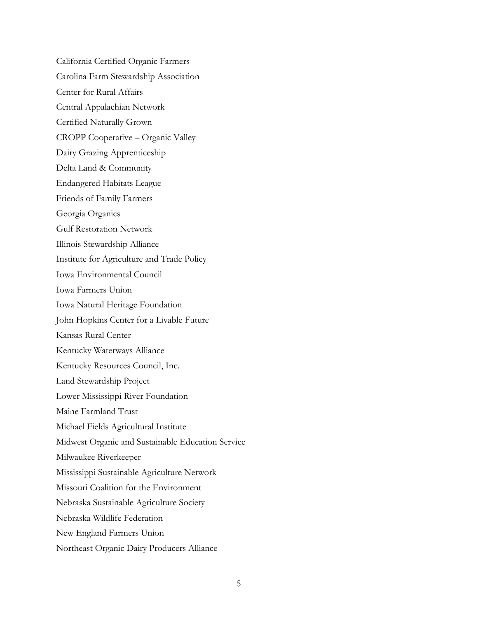California Certified Organic Farmers Carolina Farm Stewardship Association Center for Rural Affairs Central Appalachian Network Certified Naturally Grown CROPP Cooperative – Organic Valley Dairy Grazing Apprenticeship Delta Land & Community Endangered Habitats League Friends of Family Farmers Georgia Organics Gulf Restoration Network Illinois Stewardship Alliance Institute for Agriculture and Trade Policy Iowa Environmental Council Iowa Farmers Union Iowa Natural Heritage Foundation John Hopkins Center for a Livable Future Kansas Rural Center Kentucky Waterways Alliance Kentucky Resources Council, Inc. Land Stewardship Project Lower Mississippi River Foundation Maine Farmland Trust Michael Fields Agricultural Institute Midwest Organic and Sustainable Education Service Milwaukee Riverkeeper Mississippi Sustainable Agriculture Network Missouri Coalition for the Environment Nebraska Sustainable Agriculture Society Nebraska Wildlife Federation New England Farmers Union Northeast Organic Dairy Producers Alliance